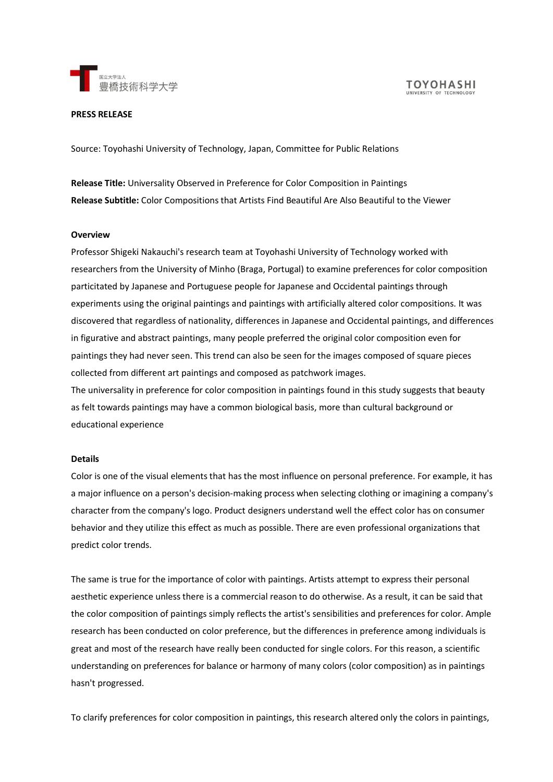

#### **PRESS RELEASE**

Source: Toyohashi University of Technology, Japan, Committee for Public Relations

**Release Title:** Universality Observed in Preference for Color Composition in Paintings **Release Subtitle:** Color Compositions that Artists Find Beautiful Are Also Beautiful to the Viewer

#### **Overview**

Professor Shigeki Nakauchi's research team at Toyohashi University of Technology worked with researchers from the University of Minho (Braga, Portugal) to examine preferences for color composition particitated by Japanese and Portuguese people for Japanese and Occidental paintings through experiments using the original paintings and paintings with artificially altered color compositions. It was discovered that regardless of nationality, differences in Japanese and Occidental paintings, and differences in figurative and abstract paintings, many people preferred the original color composition even for paintings they had never seen. This trend can also be seen for the images composed of square pieces collected from different art paintings and composed as patchwork images. The universality in preference for color composition in paintings found in this study suggests that beauty as felt towards paintings may have a common biological basis, more than cultural background or

educational experience

#### **Details**

Color is one of the visual elements that has the most influence on personal preference. For example, it has a major influence on a person's decision-making process when selecting clothing or imagining a company's character from the company's logo. Product designers understand well the effect color has on consumer behavior and they utilize this effect as much as possible. There are even professional organizations that predict color trends.

The same is true for the importance of color with paintings. Artists attempt to express their personal aesthetic experience unless there is a commercial reason to do otherwise. As a result, it can be said that the color composition of paintings simply reflects the artist's sensibilities and preferences for color. Ample research has been conducted on color preference, but the differences in preference among individuals is great and most of the research have really been conducted for single colors. For this reason, a scientific understanding on preferences for balance or harmony of many colors (color composition) as in paintings hasn't progressed.

To clarify preferences for color composition in paintings, this research altered only the colors in paintings,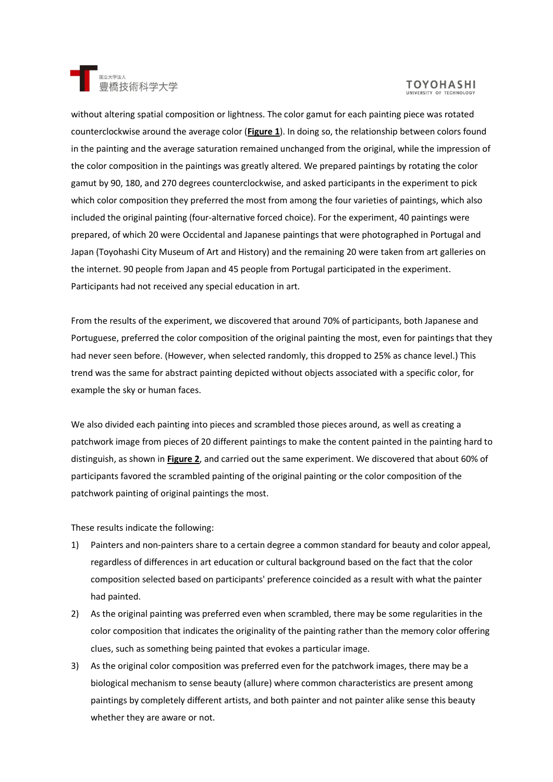

# **TOYOHASHI**

without altering spatial composition or lightness. The color gamut for each painting piece was rotated counterclockwise around the average color (**Figure 1**). In doing so, the relationship between colors found in the painting and the average saturation remained unchanged from the original, while the impression of the color composition in the paintings was greatly altered. We prepared paintings by rotating the color gamut by 90, 180, and 270 degrees counterclockwise, and asked participants in the experiment to pick which color composition they preferred the most from among the four varieties of paintings, which also included the original painting (four-alternative forced choice). For the experiment, 40 paintings were prepared, of which 20 were Occidental and Japanese paintings that were photographed in Portugal and Japan (Toyohashi City Museum of Art and History) and the remaining 20 were taken from art galleries on the internet. 90 people from Japan and 45 people from Portugal participated in the experiment. Participants had not received any special education in art.

From the results of the experiment, we discovered that around 70% of participants, both Japanese and Portuguese, preferred the color composition of the original painting the most, even for paintings that they had never seen before. (However, when selected randomly, this dropped to 25% as chance level.) This trend was the same for abstract painting depicted without objects associated with a specific color, for example the sky or human faces.

We also divided each painting into pieces and scrambled those pieces around, as well as creating a patchwork image from pieces of 20 different paintings to make the content painted in the painting hard to distinguish, as shown in **Figure 2**, and carried out the same experiment. We discovered that about 60% of participants favored the scrambled painting of the original painting or the color composition of the patchwork painting of original paintings the most.

These results indicate the following:

- 1) Painters and non-painters share to a certain degree a common standard for beauty and color appeal, regardless of differences in art education or cultural background based on the fact that the color composition selected based on participants' preference coincided as a result with what the painter had painted.
- 2) As the original painting was preferred even when scrambled, there may be some regularities in the color composition that indicates the originality of the painting rather than the memory color offering clues, such as something being painted that evokes a particular image.
- 3) As the original color composition was preferred even for the patchwork images, there may be a biological mechanism to sense beauty (allure) where common characteristics are present among paintings by completely different artists, and both painter and not painter alike sense this beauty whether they are aware or not.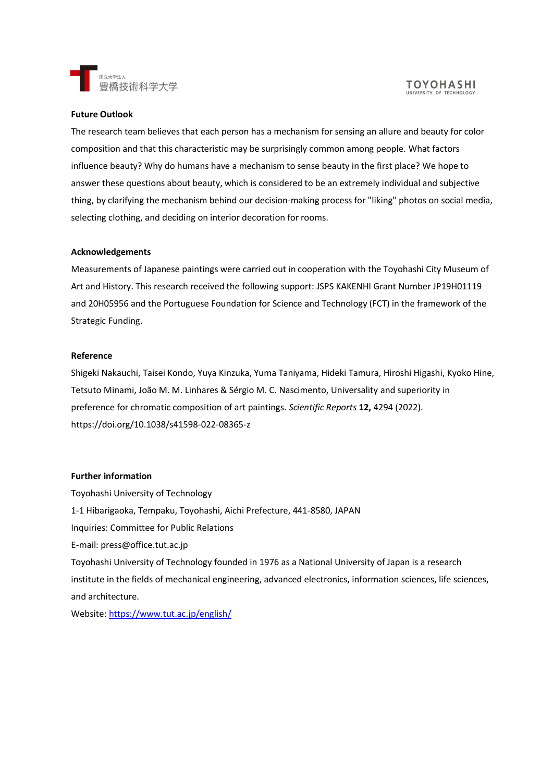

#### **TOYOHASHI** UNIVERSITY OF TECHNOL

### **Future Outlook**

The research team believes that each person has a mechanism for sensing an allure and beauty for color composition and that this characteristic may be surprisingly common among people. What factors influence beauty? Why do humans have a mechanism to sense beauty in the first place? We hope to answer these questions about beauty, which is considered to be an extremely individual and subjective thing, by clarifying the mechanism behind our decision-making process for "liking" photos on social media, selecting clothing, and deciding on interior decoration for rooms.

#### **Acknowledgements**

Measurements of Japanese paintings were carried out in cooperation with the Toyohashi City Museum of Art and History. This research received the following support: JSPS KAKENHI Grant Number JP19H01119 and 20H05956 and the Portuguese Foundation for Science and Technology (FCT) in the framework of the Strategic Funding.

### **Reference**

Shigeki Nakauchi, Taisei Kondo, Yuya Kinzuka, Yuma Taniyama, Hideki Tamura, Hiroshi Higashi, Kyoko Hine, Tetsuto Minami, João M. M. Linhares & Sérgio M. C. Nascimento, Universality and superiority in preference for chromatic composition of art paintings. *Scientific Reports* **12,** 4294 (2022). https://doi.org/10.1038/s41598-022-08365-z

## **Further information**

Toyohashi University of Technology 1-1 Hibarigaoka, Tempaku, Toyohashi, Aichi Prefecture, 441-8580, JAPAN Inquiries: Committee for Public Relations E-mail: press@office.tut.ac.jp Toyohashi University of Technology founded in 1976 as a National University of Japan is a research institute in the fields of mechanical engineering, advanced electronics, information sciences, life sciences, and architecture. Website:<https://www.tut.ac.jp/english/>